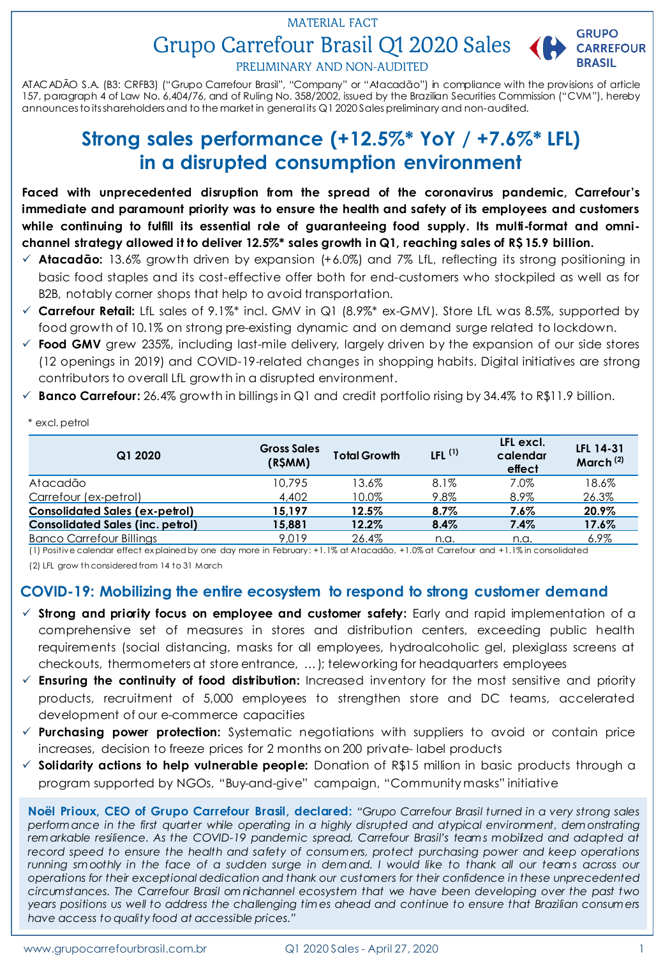# Grupo Carrefour Brasil Q1 2020 Sales ( MATERIAL FACT



PRELIMINARY AND NON-AUDITED

ATACADÃO S.A. (B3: CRFB3) ("Grupo Carrefour Brasil", "Company" or "Atacadão") in compliance with the provisions of article 157, paragraph 4 of Law No. 6,404/76, and of Ruling No. 358/2002, issued by the Brazilian Securities Commission ("CVM"), hereby announcesto itsshareholders and to the market in general its Q1 2020 Salespreliminary and non-audited.

# **Strong sales performance (+12.5%\* YoY / +7.6%\* LFL) in a disrupted consumption environment**

**Faced with unprecedented disruption from the spread of the coronavirus pandemic, Carrefour's immediate and paramount priority was to ensure the health and safety of its employees and customers while continuing to fulfill its essential role of guaranteeing food supply. Its multi-format and omnichannel strategy allowed it to deliver 12.5%\* sales growth in Q1, reaching sales of R\$ 15.9 billion.**

- **Atacadão:** 13.6% growth driven by expansion (+6.0%) and 7% LfL, reflecting its strong positioning in basic food staples and its cost-effective offer both for end-customers who stockpiled as well as for B2B, notably corner shops that help to avoid transportation.
- **Carrefour Retail:** LfL sales of 9.1%\* incl. GMV in Q1 (8.9%\* ex-GMV). Store LfL was 8.5%, supported by food growth of 10.1% on strong pre-existing dynamic and on demand surge related to lockdown.
- **Food GMV** grew 235%, including last-mile delivery, largely driven by the expansion of our side stores (12 openings in 2019) and COVID-19-related changes in shopping habits. Digital initiatives are strong contributors to overall LfL growth in a disrupted environment.
- **Banco Carrefour:** 26.4% growth in billings in Q1 and credit portfolio rising by 34.4% to R\$11.9 billion.

| Q1 2020                                 | <b>Gross Sales</b><br>(R\$MM) | <b>Total Growth</b> | LFL $^{(1)}$ | LFL excl.<br>calendar<br>effect | LFL 14-31<br>March <sup>(2)</sup> |
|-----------------------------------------|-------------------------------|---------------------|--------------|---------------------------------|-----------------------------------|
| Atacadão                                | 10.795                        | 13.6%               | 8.1%         | 7.0%                            | 18.6%                             |
| Carrefour (ex-petrol)                   | 4.402                         | 10.0%               | 9.8%         | 8.9%                            | 26.3%                             |
| <b>Consolidated Sales (ex-petrol)</b>   | 15.197                        | $12.5\%$            | 8.7%         | $7.6\%$                         | 20.9%                             |
| <b>Consolidated Sales (inc. petrol)</b> | 15,881                        | 12.2%               | 8.4%         | 7.4%                            | 17.6%                             |
| <b>Banco Carrefour Billings</b>         | 9,019                         | 26.4%               | n.a.         | n.a.                            | $6.9\%$                           |

(1) Positive calendar effect ex plained by one day more in February: +1.1% at Atacadão, +1.0% at Carrefour and +1.1% in consolidated

(2) LFL grow th considered from 14 to 31 March

\* excl. petrol

### **COVID-19: Mobilizing the entire ecosystem to respond to strong customer demand**

- **Strong and priority focus on employee and customer safety:** Early and rapid implementation of a comprehensive set of measures in stores and distribution centers, exceeding public health requirements (social distancing, masks for all employees, hydroalcoholic gel, plexiglass screens at checkouts, thermometers at store entrance, …); teleworking for headquarters employees
- **Ensuring the continuity of food distribution:** Increased inventory for the most sensitive and priority products, recruitment of 5,000 employees to strengthen store and DC teams, accelerated development of our e-commerce capacities
- **Purchasing power protection:** Systematic negotiations with suppliers to avoid or contain price increases, decision to freeze prices for 2 months on 200 private- label products
- **Solidarity actions to help vulnerable people:** Donation of R\$15 million in basic products through a program supported by NGOs, "Buy-and-give" campaign, "Community masks" initiative

Noël Prioux, CEO of Grupo Carrefour Brasil, declared: "Grupo Carrefour Brasil turned in a very strong sales *perform ance in the first quarter while operating in a highly disrupted and atypical environment, dem onstrating rem arkable resilience. As the COVID-19 pandemic spread, Carrefour Brasil's team s mobilized and adapted at record speed to ensure the health and safety of consum ers, protect purchasing power and keep operations* running smoothly in the face of a sudden surge in demand. I would like to thank all our teams across our *operations for their exceptional dedication and thank our customers for their confidence in these unprecedented circumstances. The Carrefour Brasil om nichannel ecosystem that we have been developing over the past two* years positions us well to address the challenging times ahead and continue to ensure that Brazilian consumers *have access to quality food at accessible prices."*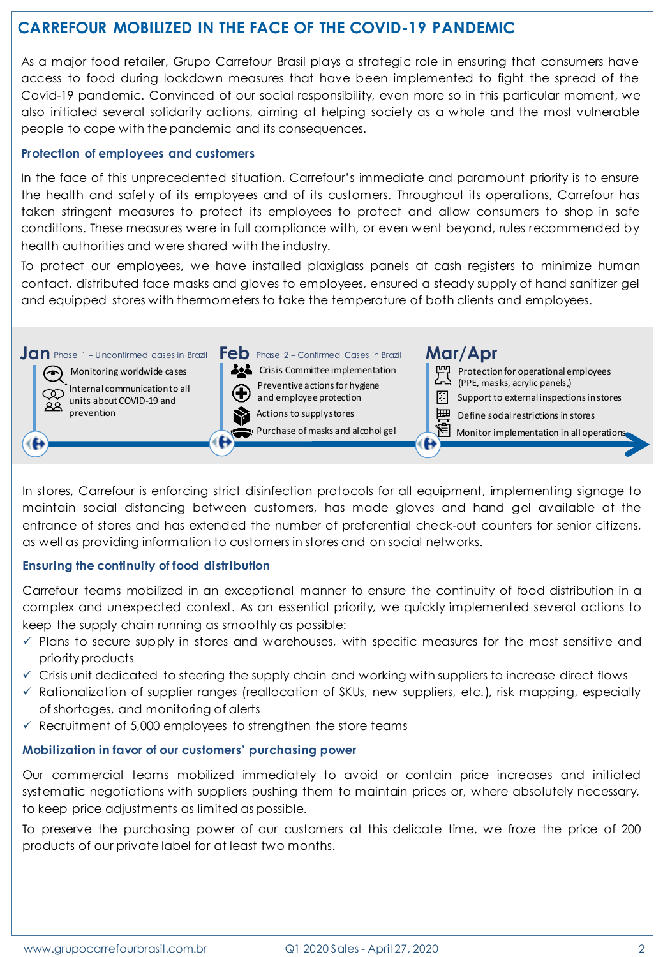# **CARREFOUR MOBILIZED IN THE FACE OF THE COVID-19 PANDEMIC**

As a major food retailer, Grupo Carrefour Brasil plays a strategic role in ensuring that consumers have access to food during lockdown measures that have been implemented to fight the spread of the Covid-19 pandemic. Convinced of our social responsibility, even more so in this particular moment, we also initiated several solidarity actions, aiming at helping society as a whole and the most vulnerable people to cope with the pandemic and its consequences.

#### **Protection of employees and customers**

In the face of this unprecedented situation, Carrefour's immediate and paramount priority is to ensure the health and safety of its employees and of its customers. Throughout its operations, Carrefour has taken stringent measures to protect its employees to protect and allow consumers to shop in safe conditions. These measures were in full compliance with, or even went beyond, rules recommended by health authorities and were shared with the industry.

To protect our employees, we have installed plaxiglass panels at cash registers to minimize human contact, distributed face masks and gloves to employees, ensured a steady supply of hand sanitizer gel and equipped stores with thermometers to take the temperature of both clients and employees.



In stores, Carrefour is enforcing strict disinfection protocols for all equipment, implementing signage to maintain social distancing between customers, has made gloves and hand gel available at the entrance of stores and has extended the number of preferential check-out counters for senior citizens, as well as providing information to customers in stores and on social networks.

#### **Ensuring the continuity of food distribution**

Carrefour teams mobilized in an exceptional manner to ensure the continuity of food distribution in a complex and unexpected context. As an essential priority, we quickly implemented several actions to keep the supply chain running as smoothly as possible:

- $\checkmark$  Plans to secure supply in stores and warehouses, with specific measures for the most sensitive and priorityproducts
- $\checkmark$  Crisis unit dedicated to steering the supply chain and working with suppliers to increase direct flows
- $\checkmark$  Rationalization of supplier ranges (reallocation of SKUs, new suppliers, etc.), risk mapping, especially of shortages, and monitoring of alerts
- $\checkmark$  Recruitment of 5,000 employees to strengthen the store teams

#### **Mobilization in favor of our customers' purchasing power**

Our commercial teams mobilized immediately to avoid or contain price increases and initiated systematic negotiations with suppliers pushing them to maintain prices or, where absolutely necessary, to keep price adjustments as limited as possible.

To preserve the purchasing power of our customers at this delicate time, we froze the price of 200 products of our private label for at least two months.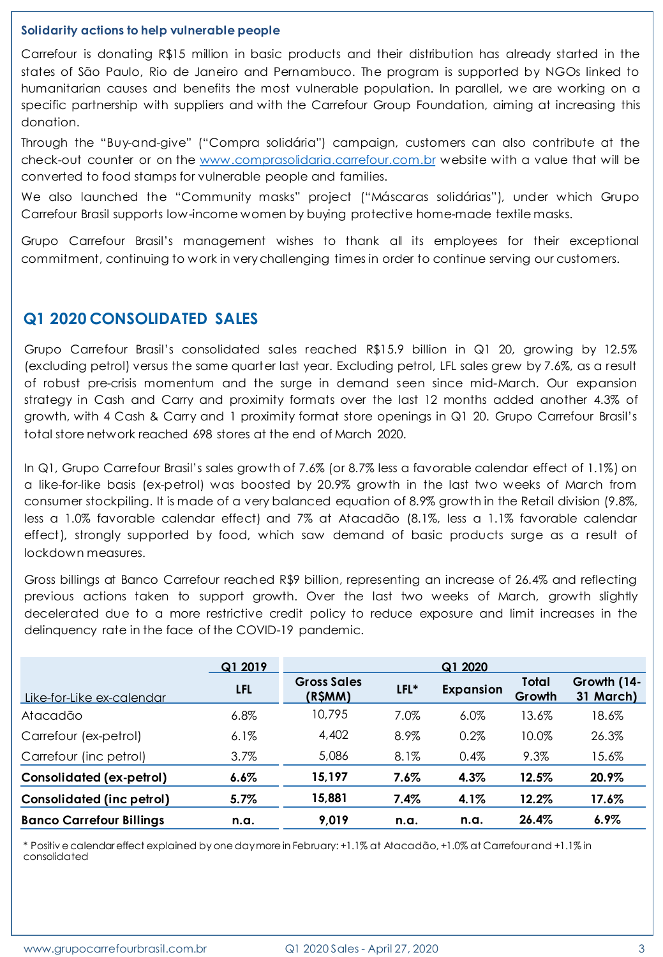#### **Solidarity actions to help vulnerable people**

Carrefour is donating R\$15 million in basic products and their distribution has already started in the states of São Paulo, Rio de Janeiro and Pernambuco. The program is supported by NGOs linked to humanitarian causes and benefits the most vulnerable population. In parallel, we are working on a specific partnership with suppliers and with the Carrefour Group Foundation, aiming at increasing this donation.

Through the "Buy-and-give" ("Compra solidária") campaign, customers can also contribute at the check-out counter or on the [www.comprasolidaria.carrefour.com.br](http://www.comprasolidaria.carrefour.com.br/) website with a value that will be converted to food stamps for vulnerable people and families.

We also launched the "Community masks" project ("Máscaras solidárias"), under which Grupo Carrefour Brasil supports low-income women by buying protective home-made textile masks.

Grupo Carrefour Brasil's management wishes to thank all its employees for their exceptional commitment, continuing to work in verychallenging times in order to continue serving our customers.

### **Q1 2020 CONSOLIDATED SALES**

Grupo Carrefour Brasil's consolidated sales reached R\$15.9 billion in Q1 20, growing by 12.5% (excluding petrol) versus the same quarter last year. Excluding petrol, LFL sales grew by 7.6%, as a result of robust pre-crisis momentum and the surge in demand seen since mid-March. Our expansion strategy in Cash and Carry and proximity formats over the last 12 months added another 4.3% of growth, with 4 Cash & Carry and 1 proximity format store openings in Q1 20. Grupo Carrefour Brasil's total store network reached 698 stores at the end of March 2020.

In Q1, Grupo Carrefour Brasil's sales growth of 7.6% (or 8.7% less a favorable calendar effect of 1.1%) on a like-for-like basis (ex-petrol) was boosted by 20.9% growth in the last two weeks of March from consumer stockpiling. It is made of a very balanced equation of 8.9% growth in the Retail division (9.8%, less a 1.0% favorable calendar effect) and 7% at Atacadão (8.1%, less a 1.1% favorable calendar effect), strongly supported by food, which saw demand of basic products surge as a result of lockdown measures.

Gross billings at Banco Carrefour reached R\$9 billion, representing an increase of 26.4% and reflecting previous actions taken to support growth. Over the last two weeks of March, growth slightly decelerated due to a more restrictive credit policy to reduce exposure and limit increases in the delinquency rate in the face of the COVID-19 pandemic.

|                                 | Q1 2019    | Q1 2020                       |         |           |                 |                          |
|---------------------------------|------------|-------------------------------|---------|-----------|-----------------|--------------------------|
| Like-for-Like ex-calendar       | <b>LFL</b> | <b>Gross Sales</b><br>(R\$MM) | LFL*    | Expansion | Total<br>Growth | Growth (14-<br>31 March) |
| Atacadão                        | $6.8\%$    | 10.795                        | 7.0%    | 6.0%      | 13.6%           | 18.6%                    |
| Carrefour (ex-petrol)           | $6.1\%$    | 4,402                         | 8.9%    | 0.2%      | 10.0%           | 26.3%                    |
| Carrefour (inc petrol)          | $3.7\%$    | 5,086                         | 8.1%    | 0.4%      | 9.3%            | 15.6%                    |
| <b>Consolidated (ex-petrol)</b> | 6.6%       | 15,197                        | 7.6%    | 4.3%      | 12.5%           | 20.9%                    |
| Consolidated (inc petrol)       | $5.7\%$    | 15,881                        | $7.4\%$ | 4.1%      | 12.2%           | 17.6%                    |
| <b>Banco Carrefour Billings</b> | n.a.       | 9.019                         | n.a.    | n.a.      | 26.4%           | $6.9\%$                  |

\* Positiv e calendar effect explained by one day more in February: +1.1% at Atacadão, +1.0% at Carrefour and +1.1% in consolidated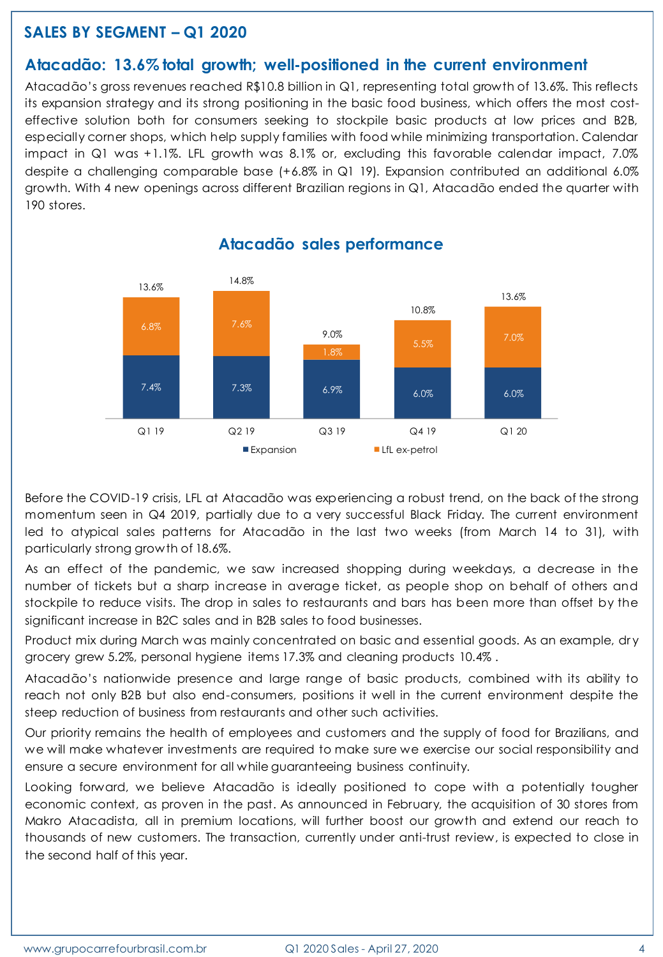## **SALES BY SEGMENT – Q1 2020**

### **Atacadão: 13.6% total growth; well-positioned in the current environment**

Atacadão's gross revenues reached R\$10.8 billion in Q1, representing total growth of 13.6%. This reflects its expansion strategy and its strong positioning in the basic food business, which offers the most costeffective solution both for consumers seeking to stockpile basic products at low prices and B2B, especially corner shops, which help supply families with food while minimizing transportation. Calendar impact in Q1 was +1.1%. LFL growth was 8.1% or, excluding this favorable calendar impact, 7.0% despite a challenging comparable base (+6.8% in Q1 19). Expansion contributed an additional 6.0% growth. With 4 new openings across different Brazilian regions in Q1, Atacadão ended the quarter with 190 stores.



#### **Atacadão sales performance**

Before the COVID-19 crisis, LFL at Atacadão was experiencing a robust trend, on the back of the strong momentum seen in Q4 2019, partially due to a very successful Black Friday. The current environment led to atypical sales patterns for Atacadão in the last two weeks (from March 14 to 31), with particularly strong growth of 18.6%.

As an effect of the pandemic, we saw increased shopping during weekdays, a decrease in the number of tickets but a sharp increase in average ticket, as people shop on behalf of others and stockpile to reduce visits. The drop in sales to restaurants and bars has been more than offset by the significant increase in B2C sales and in B2B sales to food businesses.

Product mix during March was mainly concentrated on basic and essential goods. As an example, dry grocery grew 5.2%, personal hygiene items 17.3% and cleaning products 10.4% .

Atacadão's nationwide presence and large range of basic products, combined with its ability to reach not only B2B but also end-consumers, positions it well in the current environment despite the steep reduction of business from restaurants and other such activities.

Our priority remains the health of employees and customers and the supply of food for Brazilians, and we will make whatever investments are required to make sure we exercise our social responsibility and ensure a secure environment for all while guaranteeing business continuity.

Looking forward, we believe Atacadão is ideally positioned to cope with a potentially tougher economic context, as proven in the past. As announced in February, the acquisition of 30 stores from Makro Atacadista, all in premium locations, will further boost our growth and extend our reach to thousands of new customers. The transaction, currently under anti-trust review, is expected to close in the second half of this year.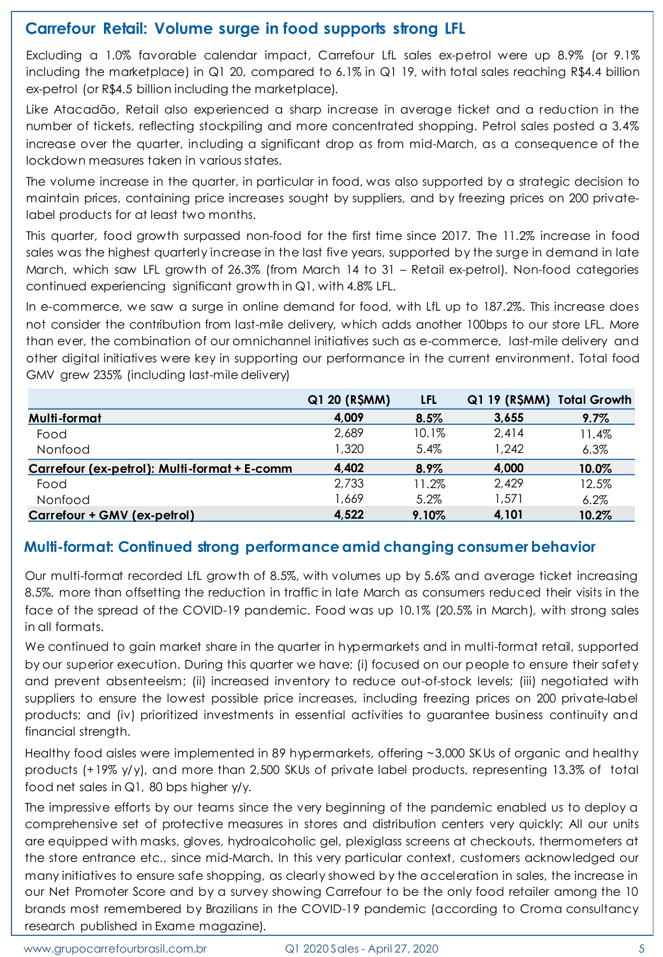## **Carrefour Retail: Volume surge in food supports strong LFL**

Excluding a 1.0% favorable calendar impact, Carrefour LfL sales ex-petrol were up 8.9% (or 9.1% including the marketplace) in Q1 20, compared to 6.1% in Q1 19, with total sales reaching R\$4.4 billion ex-petrol (or R\$4.5 billion including the marketplace).

Like Atacadão, Retail also experienced a sharp increase in average ticket and a reduction in the number of tickets, reflecting stockpiling and more concentrated shopping. Petrol sales posted a 3.4% increase over the quarter, including a significant drop as from mid-March, as a consequence of the lockdown measures taken in various states.

The volume increase in the quarter, in particular in food, was also supported by a strategic decision to maintain prices, containing price increases sought by suppliers, and by freezing prices on 200 privatelabel products for at least two months.

This quarter, food growth surpassed non-food for the first time since 2017. The 11.2% increase in food sales was the highest quarterly increase in the last five years, supported by the surge in demand in late March, which saw LFL growth of 26.3% (from March 14 to 31 – Retail ex-petrol). Non-food categories continued experiencing significant growth in Q1, with 4.8% LFL.

In e-commerce, we saw a surge in online demand for food, with LfL up to 187.2%. This increase does not consider the contribution from last-mile delivery, which adds another 100bps to our store LFL. More than ever, the combination of our omnichannel initiatives such as e-commerce, last-mile delivery and other digital initiatives were key in supporting our performance in the current environment. Total food GMV grew 235% (including last-mile delivery)

|                                              | Q1 20 (R\$MM) | LFL   | Q1 19 (R\$MM) Total Growth |         |
|----------------------------------------------|---------------|-------|----------------------------|---------|
| Multi-format                                 | 4.009         | 8.5%  | 3,655                      | $9.7\%$ |
| Food                                         | 2,689         | 10.1% | 2.414                      | 11.4%   |
| Nonfood                                      | 1,320         | 5.4%  | 1,242                      | 6.3%    |
| Carrefour (ex-petrol): Multi-format + E-comm | 4,402         | 8.9%  | 4,000                      | 10.0%   |
| Food                                         | 2.733         | 11.2% | 2.429                      | 12.5%   |
| Nonfood                                      | 1,669         | 5.2%  | 1.571                      | 6.2%    |
| Carrefour + GMV (ex-petrol)                  | 4.522         | 9.10% | 4.101                      | 10.2%   |

## **Multi-format: Continued strong performance amid changing consumer behavior**

Our multi-format recorded LfL growth of 8.5%, with volumes up by 5.6% and average ticket increasing 8.5%, more than offsetting the reduction in traffic in late March as consumers reduced their visits in the face of the spread of the COVID-19 pandemic. Food was up 10.1% (20.5% in March), with strong sales in all formats.

We continued to gain market share in the quarter in hypermarkets and in multi-format retail, supported by our superior execution. During this quarter we have: (i) focused on our people to ensure their safety and prevent absenteeism; (ii) increased inventory to reduce out-of-stock levels; (iii) negotiated with suppliers to ensure the lowest possible price increases, including freezing prices on 200 private-label products; and (iv) prioritized investments in essential activities to guarantee business continuity and financial strength.

Healthy food aisles were implemented in 89 hypermarkets, offering ~3,000 SKUs of organic and healthy products (+19% y/y), and more than 2,500 SKUs of private label products, representing 13.3% of total food net sales in Q1, 80 bps higher y/y.

The impressive efforts by our teams since the very beginning of the pandemic enabled us to deploy a comprehensive set of protective measures in stores and distribution centers very quickly: All our units are equipped with masks, gloves, hydroalcoholic gel, plexiglass screens at checkouts, thermometers at the store entrance etc., since mid-March. In this very particular context, customers acknowledged our many initiatives to ensure safe shopping, as clearly showed by the acceleration in sales, the increase in our Net Promoter Score and by a survey showing Carrefour to be the only food retailer among the 10 brands most remembered by Brazilians in the COVID-19 pandemic (according to Croma consultancy research published in Exame magazine).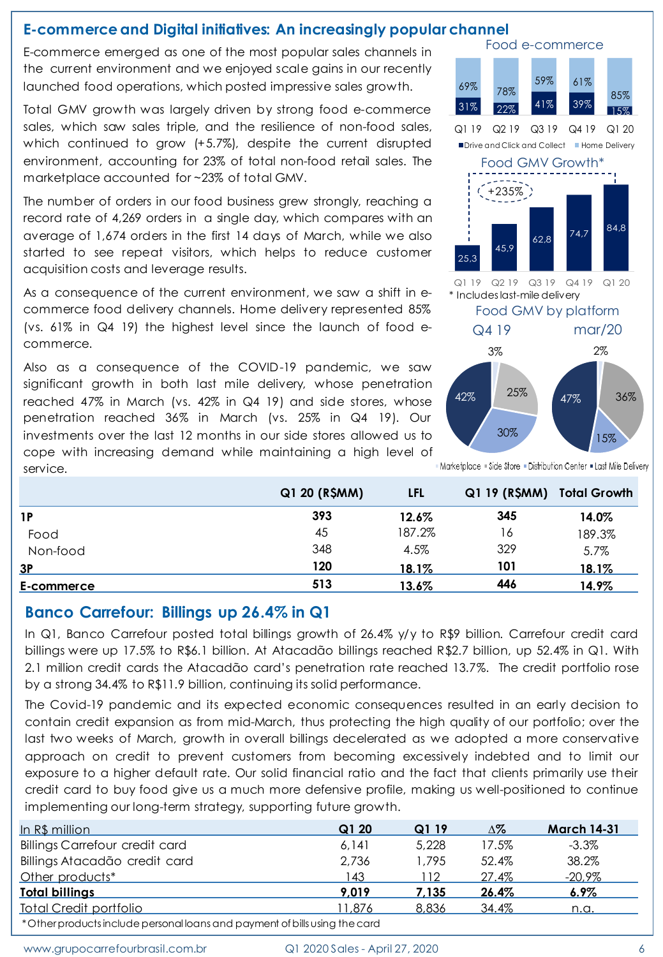### **E-commerce and Digital initiatives: An increasingly popular channel**

E-commerce emerged as one of the most popular sales channels in the current environment and we enjoyed scale gains in our recently launched food operations, which posted impressive sales growth.

Total GMV growth was largely driven by strong food e-commerce sales, which saw sales triple, and the resilience of non-food sales, which continued to grow (+5.7%), despite the current disrupted environment, accounting for 23% of total non-food retail sales. The marketplace accounted for ~23% of total GMV.

The number of orders in our food business grew strongly, reaching a record rate of 4,269 orders in a single day, which compares with an average of 1,674 orders in the first 14 days of March, while we also started to see repeat visitors, which helps to reduce customer acquisition costs and leverage results.

As a consequence of the current environment, we saw a shift in ecommerce food delivery channels. Home delivery represented 85% (vs. 61% in Q4 19) the highest level since the launch of food ecommerce.

Also as a consequence of the COVID-19 pandemic, we saw significant growth in both last mile delivery, whose penetration reached 47% in March (vs. 42% in Q4 19) and side stores, whose penetration reached 36% in March (vs. 25% in Q4 19). Our investments over the last 12 months in our side stores allowed us to cope with increasing demand while maintaining a high level of service.



|          | Q1 20 (R\$MM) | LFL    | Q1 19 (R\$MM) Total Growth |        |
|----------|---------------|--------|----------------------------|--------|
| 1P       | 393           | 12.6%  | 345                        | 14.0%  |
| Food     | 45            | 187.2% | 16                         | 189.3% |
| Non-food | 348           | 4.5%   | 329                        | 5.7%   |
| 3Р       | 120           | 18.1%  | 101                        | 18.1%  |

**E-commerce 513 13.6% 446 14.9%**

### **Banco Carrefour: Billings up 26.4% in Q1**

In Q1, Banco Carrefour posted total billings growth of 26.4% y/y to R\$9 billion. Carrefour credit card billings were up 17.5% to R\$6.1 billion. At Atacadão billings reached R\$2.7 billion, up 52.4% in Q1. With 2.1 million credit cards the Atacadão card's penetration rate reached 13.7%. The credit portfolio rose by a strong 34.4% to R\$11.9 billion, continuing its solid performance.

The Covid-19 pandemic and its expected economic consequences resulted in an early decision to contain credit expansion as from mid-March, thus protecting the high quality of our portfolio; over the last two weeks of March, growth in overall billings decelerated as we adopted a more conservative approach on credit to prevent customers from becoming excessively indebted and to limit our exposure to a higher default rate. Our solid financial ratio and the fact that clients primarily use their credit card to buy food give us a much more defensive profile, making us well-positioned to continue implementing our long-term strategy, supporting future growth. Durate that do persistens which points and mysteve alles growin. We have a strong-technique strong-technique strong-technique strong-technique is the second the strong-technique is the strong-technique intervention of the

| In R\$ million                                                             | Q120   | Q119  | Δ%           | <b>March 14-31</b> |  |  |
|----------------------------------------------------------------------------|--------|-------|--------------|--------------------|--|--|
| <b>Billings Carrefour credit card</b>                                      | 6.141  | 5,228 | 17.5%        | $-3.3%$            |  |  |
| Billings Atacadão credit card                                              | 2.736  | 1.795 | 52.4%        | 38.2%              |  |  |
| Other products*                                                            | 143    | 112   | 27.4%        | $-20.9\%$          |  |  |
| <b>Total billings</b>                                                      | 9.019  | 7.135 | <u>26.4%</u> | $6.9\%$            |  |  |
| <b>Total Credit portfolio</b>                                              | 11.876 | 8,836 | 34.4%        | n.a.               |  |  |
| *Other products include personal loans and payment of bills using the card |        |       |              |                    |  |  |

www.grupocarrefourbrasil.com.br  $Q1 2020$  Sales - April 27, 2020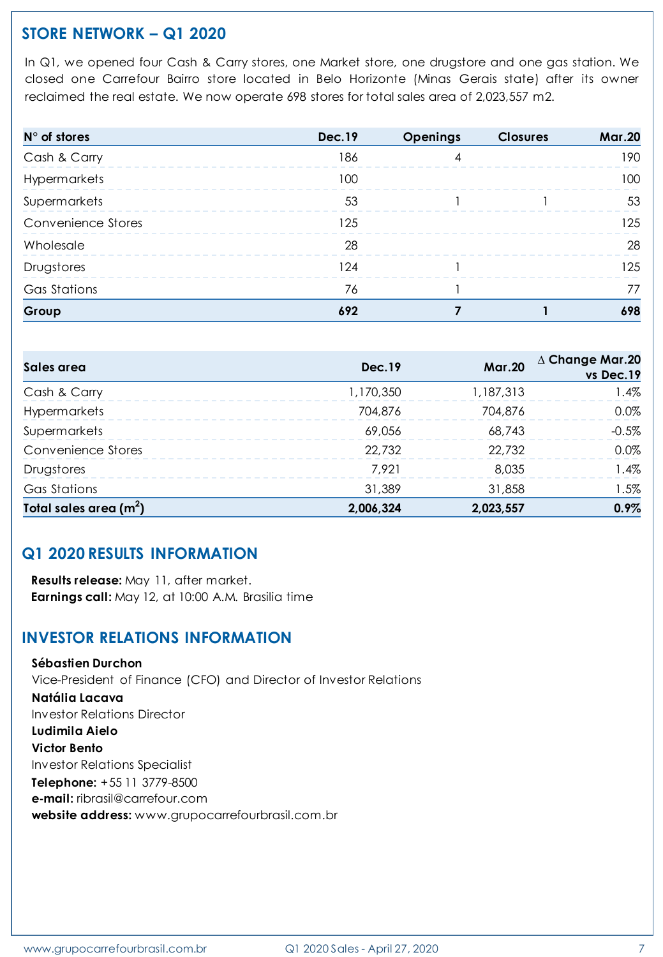# **STORE NETWORK – Q1 2020**

In Q1, we opened four Cash & Carry stores, one Market store, one drugstore and one gas station. We closed one Carrefour Bairro store located in Belo Horizonte (Minas Gerais state) after its owner reclaimed the real estate. We now operate 698 stores for total sales area of 2,023,557 m2.

| $N^{\circ}$ of stores | <b>Dec.19</b> | Openings | <b>Closures</b> | <b>Mar.20</b> |
|-----------------------|---------------|----------|-----------------|---------------|
| Cash & Carry          | 186           |          |                 | 190           |
| Hypermarkets          | 100           |          |                 | 100.          |
| Supermarkets          | 53            |          |                 | .53           |
| Convenience Stores    | 125           |          |                 | 125           |
| Wholesale             | 28            |          |                 | 28            |
| Drugstores            | 24            |          |                 | 125           |
| <b>Gas Stations</b>   | 76            |          |                 |               |
| Group                 | 692           |          |                 | 698           |

| Sales area              | <b>Dec.19</b> | <b>Mar.20</b> | $\Delta$ Change Mar.20<br>vs Dec.19 |
|-------------------------|---------------|---------------|-------------------------------------|
| Cash & Carry            | 1,170,350     | 1,187,313     | $1.4\%$                             |
| Hypermarkets            | 704,876       | 704,876       | $0.0\%$                             |
| Supermarkets            | 69,056        | 68,743        | $-0.5%$                             |
| Convenience Stores      | 22,732        | 22,732        | $0.0\%$                             |
| Drugstores              | 7.921         | 8.035         | $.4\%$                              |
| Gas Stations            | 31,389        | 31,858        | $1.5\%$                             |
| Total sales area $(m2)$ | 2,006,324     | 2,023,557     | 0.9%                                |

# **Q1 2020 RESULTS INFORMATION**

**Results release:** May 11, after market. **Earnings call:** May 12, at 10:00 A.M. Brasilia time

## **INVESTOR RELATIONS INFORMATION**

**Sébastien Durchon** Vice-President of Finance (CFO) and Director of Investor Relations **Natália Lacava** Investor Relations Director **Ludimila Aielo Victor Bento** Investor Relations Specialist **Telephone:** +55 11 3779-8500 **e-mail:** ribrasil@carrefour.com **website address:** www.grupocarrefourbrasil.com.br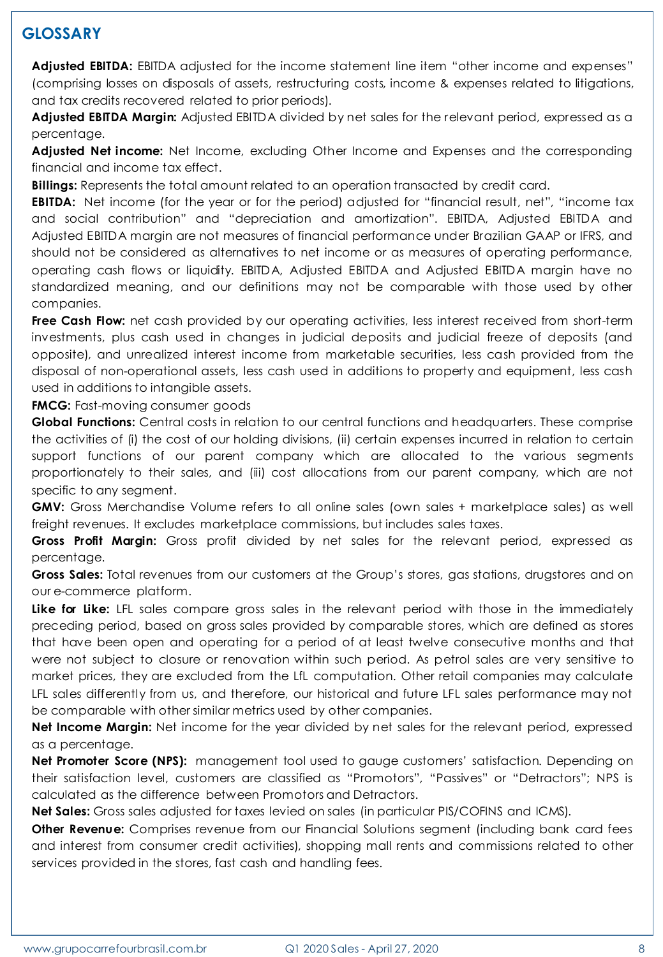# **GLOSSARY**

**Adjusted EBITDA:** EBITDA adjusted for the income statement line item "other income and expenses" (comprising losses on disposals of assets, restructuring costs, income & expenses related to litigations, and tax credits recovered related to prior periods).

**Adjusted EBITDA Margin:** Adjusted EBITDA divided by net sales for the relevant period, expressed as a percentage.

**Adjusted Net income:** Net Income, excluding Other Income and Expenses and the corresponding financial and income tax effect.

**Billings:** Represents the total amount related to an operation transacted by credit card.

**EBITDA:** Net income (for the year or for the period) adjusted for "financial result, net", "income tax and social contribution" and "depreciation and amortization". EBITDA, Adjusted EBITDA and Adjusted EBITDA margin are not measures of financial performance under Brazilian GAAP or IFRS, and should not be considered as alternatives to net income or as measures of operating performance, operating cash flows or liquidity. EBITDA, Adjusted EBITDA and Adjusted EBITDA margin have no standardized meaning, and our definitions may not be comparable with those used by other companies.

**Free Cash Flow:** net cash provided by our operating activities, less interest received from short-term investments, plus cash used in changes in judicial deposits and judicial freeze of deposits (and opposite), and unrealized interest income from marketable securities, less cash provided from the disposal of non-operational assets, less cash used in additions to property and equipment, less cash used in additions to intangible assets.

**FMCG:** Fast-moving consumer goods

**Global Functions:** Central costs in relation to our central functions and headquarters. These comprise the activities of (i) the cost of our holding divisions, (ii) certain expenses incurred in relation to certain support functions of our parent company which are allocated to the various segments proportionately to their sales, and (iii) cost allocations from our parent company, which are not specific to any segment.

**GMV:** Gross Merchandise Volume refers to all online sales (own sales + marketplace sales) as well freight revenues. It excludes marketplace commissions, but includes sales taxes.

**Gross Profit Margin:** Gross profit divided by net sales for the relevant period, expressed as percentage.

**Gross Sales:** Total revenues from our customers at the Group's stores, gas stations, drugstores and on our e-commerce platform.

**Like for Like:** LFL sales compare gross sales in the relevant period with those in the immediately preceding period, based on gross sales provided by comparable stores, which are defined as stores that have been open and operating for a period of at least twelve consecutive months and that were not subject to closure or renovation within such period. As petrol sales are very sensitive to market prices, they are excluded from the LfL computation. Other retail companies may calculate LFL sales differently from us, and therefore, our historical and future LFL sales performance may not be comparable with other similar metrics used by other companies.

**Net Income Margin:** Net income for the year divided by net sales for the relevant period, expressed as a percentage.

**Net Promoter Score (NPS):** management tool used to gauge customers' satisfaction. Depending on their satisfaction level, customers are classified as "Promotors", "Passives" or "Detractors"; NPS is calculated as the difference between Promotors and Detractors.

**Net Sales:** Gross sales adjusted for taxes levied on sales (in particular PIS/COFINS and ICMS).

**Other Revenue:** Comprises revenue from our Financial Solutions segment (including bank card fees and interest from consumer credit activities), shopping mall rents and commissions related to other services provided in the stores, fast cash and handling fees.